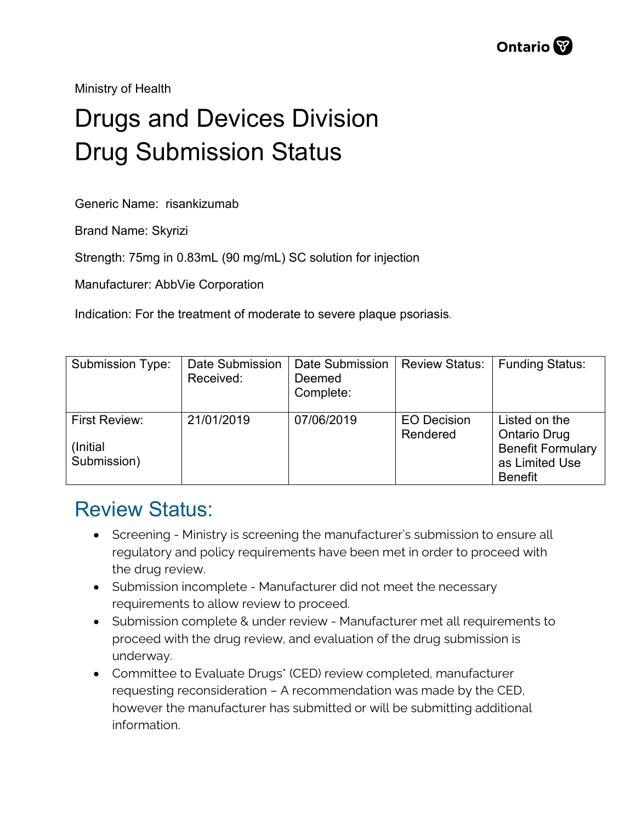Ministry of Health

## Drugs and Devices Division Drug Submission Status

Generic Name: risankizumab

Brand Name: Skyrizi

Strength: 75mg in 0.83mL (90 mg/mL) SC solution for injection

Manufacturer: AbbVie Corporation

Indication: For the treatment of moderate to severe plaque psoriasis.

| <b>Submission Type:</b>                   | <b>Date Submission</b><br>Received: | <b>Date Submission</b><br>Deemed<br>Complete: | <b>Review Status:</b>          | <b>Funding Status:</b>                                                                               |
|-------------------------------------------|-------------------------------------|-----------------------------------------------|--------------------------------|------------------------------------------------------------------------------------------------------|
| First Review:<br>(Initial)<br>Submission) | 21/01/2019                          | 07/06/2019                                    | <b>EO</b> Decision<br>Rendered | Listed on the<br><b>Ontario Drug</b><br><b>Benefit Formulary</b><br>as Limited Use<br><b>Benefit</b> |

## Review Status:

- Screening Ministry is screening the manufacturer's submission to ensure all regulatory and policy requirements have been met in order to proceed with the drug review.
- Submission incomplete Manufacturer did not meet the necessary requirements to allow review to proceed.
- Submission complete & under review Manufacturer met all requirements to proceed with the drug review, and evaluation of the drug submission is underway.
- Committee to Evaluate Drugs\* (CED) review completed, manufacturer requesting reconsideration – A recommendation was made by the CED, however the manufacturer has submitted or will be submitting additional information.